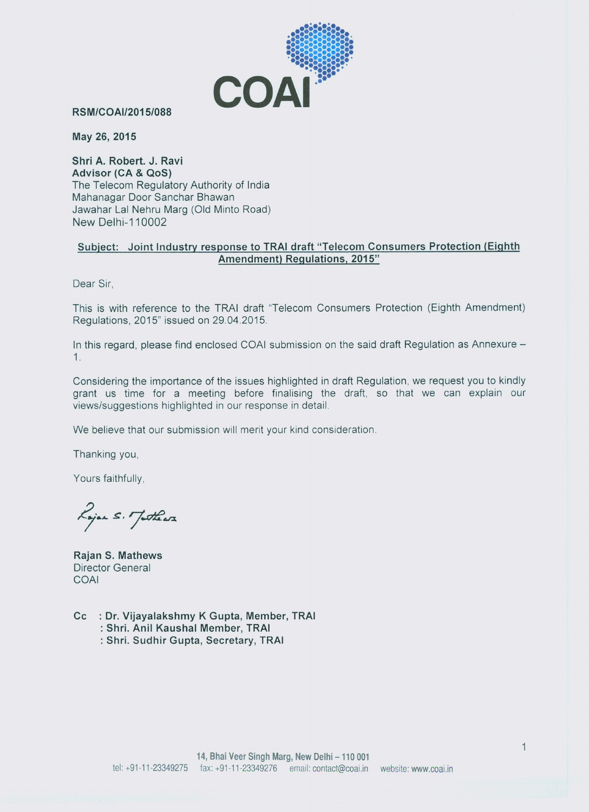

**RSM/COAI/2015/088** 

May 26, 2015

Shri A. Robert, J. Ravi Advisor (CA & QoS) The Telecom Regulatory Authority of India Mahanagar Door Sanchar Bhawan Jawahar Lal Nehru Marg (Old Minto Road) **New Delhi-110002** 

# Subject: Joint Industry response to TRAI draft "Telecom Consumers Protection (Eighth Amendment) Regulations, 2015"

Dear Sir,

This is with reference to the TRAI draft "Telecom Consumers Protection (Eighth Amendment) Regulations, 2015" issued on 29.04.2015.

In this regard, please find enclosed COAI submission on the said draft Regulation as Annexure - $1.$ 

Considering the importance of the issues highlighted in draft Regulation, we request you to kindly grant us time for a meeting before finalising the draft, so that we can explain our views/suggestions highlighted in our response in detail.

We believe that our submission will merit your kind consideration.

Thanking you,

Yours faithfully,

Rojan S. Juthears

Rajan S. Mathews Director General COAL

- Cc : Dr. Vijayalakshmy K Gupta, Member, TRAI : Shri. Anil Kaushal Member, TRAI
	- : Shri. Sudhir Gupta, Secretary, TRAI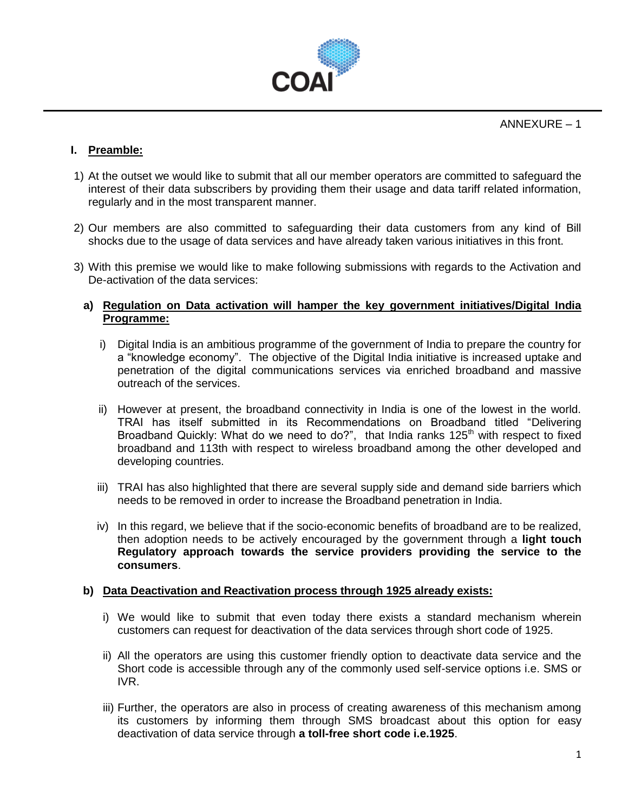

ANNEXURE – 1

# **I. Preamble:**

- 1) At the outset we would like to submit that all our member operators are committed to safeguard the interest of their data subscribers by providing them their usage and data tariff related information, regularly and in the most transparent manner.
- 2) Our members are also committed to safeguarding their data customers from any kind of Bill shocks due to the usage of data services and have already taken various initiatives in this front.
- 3) With this premise we would like to make following submissions with regards to the Activation and De-activation of the data services:

# **a) Regulation on Data activation will hamper the key government initiatives/Digital India Programme:**

- i) Digital India is an ambitious programme of the government of India to prepare the country for a "knowledge economy". The objective of the Digital India initiative is increased uptake and penetration of the digital communications services via enriched broadband and massive outreach of the services.
- ii) However at present, the broadband connectivity in India is one of the lowest in the world. TRAI has itself submitted in its Recommendations on Broadband titled "Delivering Broadband Quickly: What do we need to do?", that India ranks 125<sup>th</sup> with respect to fixed broadband and 113th with respect to wireless broadband among the other developed and developing countries.
- iii) TRAI has also highlighted that there are several supply side and demand side barriers which needs to be removed in order to increase the Broadband penetration in India.
- iv) In this regard, we believe that if the socio-economic benefits of broadband are to be realized, then adoption needs to be actively encouraged by the government through a **light touch Regulatory approach towards the service providers providing the service to the consumers**.

## **b) Data Deactivation and Reactivation process through 1925 already exists:**

- i) We would like to submit that even today there exists a standard mechanism wherein customers can request for deactivation of the data services through short code of 1925.
- ii) All the operators are using this customer friendly option to deactivate data service and the Short code is accessible through any of the commonly used self-service options i.e. SMS or IVR.
- iii) Further, the operators are also in process of creating awareness of this mechanism among its customers by informing them through SMS broadcast about this option for easy deactivation of data service through **a toll-free short code i.e.1925**.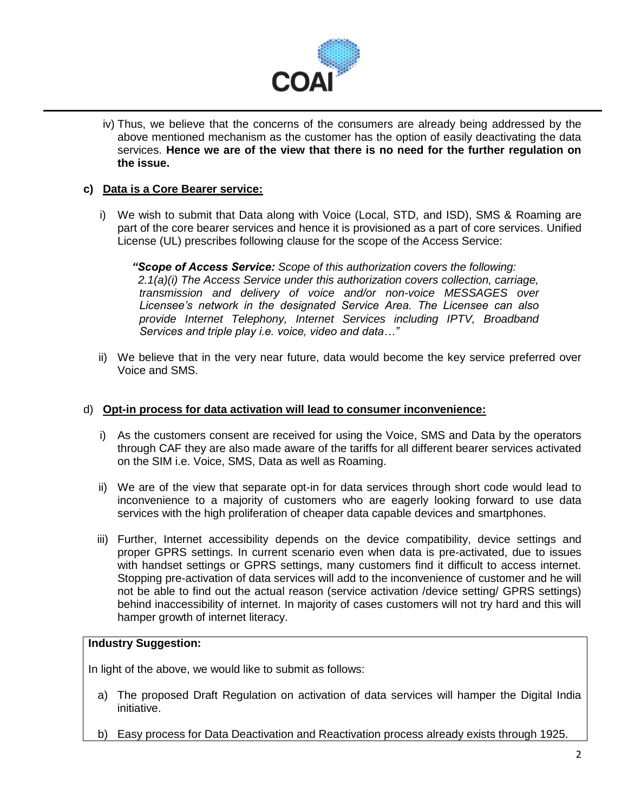

iv) Thus, we believe that the concerns of the consumers are already being addressed by the above mentioned mechanism as the customer has the option of easily deactivating the data services. **Hence we are of the view that there is no need for the further regulation on the issue.**

# **c) Data is a Core Bearer service:**

i) We wish to submit that Data along with Voice (Local, STD, and ISD), SMS & Roaming are part of the core bearer services and hence it is provisioned as a part of core services. Unified License (UL) prescribes following clause for the scope of the Access Service:

*"Scope of Access Service: Scope of this authorization covers the following: 2.1(a)(i) The Access Service under this authorization covers collection, carriage, transmission and delivery of voice and/or non-voice MESSAGES over Licensee's network in the designated Service Area. The Licensee can also provide Internet Telephony, Internet Services including IPTV, Broadband Services and triple play i.e. voice, video and data…"*

ii) We believe that in the very near future, data would become the key service preferred over Voice and SMS.

# d) **Opt-in process for data activation will lead to consumer inconvenience:**

- i) As the customers consent are received for using the Voice, SMS and Data by the operators through CAF they are also made aware of the tariffs for all different bearer services activated on the SIM i.e. Voice, SMS, Data as well as Roaming.
- ii) We are of the view that separate opt-in for data services through short code would lead to inconvenience to a majority of customers who are eagerly looking forward to use data services with the high proliferation of cheaper data capable devices and smartphones.
- iii) Further, Internet accessibility depends on the device compatibility, device settings and proper GPRS settings. In current scenario even when data is pre-activated, due to issues with handset settings or GPRS settings, many customers find it difficult to access internet. Stopping pre-activation of data services will add to the inconvenience of customer and he will not be able to find out the actual reason (service activation /device setting/ GPRS settings) behind inaccessibility of internet. In majority of cases customers will not try hard and this will hamper growth of internet literacy.

## **Industry Suggestion:**

In light of the above, we would like to submit as follows:

- a) The proposed Draft Regulation on activation of data services will hamper the Digital India initiative.
- b) Easy process for Data Deactivation and Reactivation process already exists through 1925.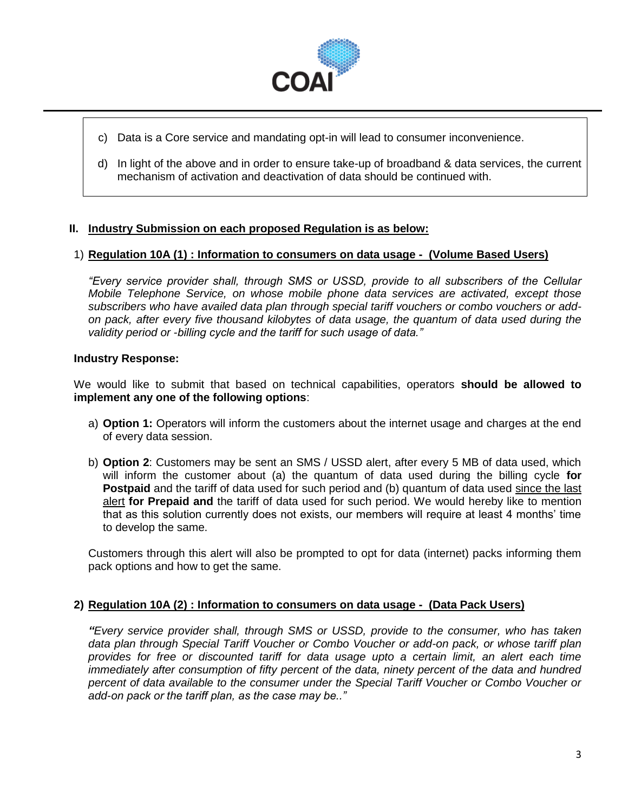

- c) Data is a Core service and mandating opt-in will lead to consumer inconvenience.
- d) In light of the above and in order to ensure take-up of broadband & data services, the current mechanism of activation and deactivation of data should be continued with.

# **II. Industry Submission on each proposed Regulation is as below:**

# 1) **Regulation 10A (1) : Information to consumers on data usage - (Volume Based Users)**

*"Every service provider shall, through SMS or USSD, provide to all subscribers of the Cellular Mobile Telephone Service, on whose mobile phone data services are activated, except those subscribers who have availed data plan through special tariff vouchers or combo vouchers or addon pack, after every five thousand kilobytes of data usage, the quantum of data used during the validity period or -billing cycle and the tariff for such usage of data."*

# **Industry Response:**

We would like to submit that based on technical capabilities, operators **should be allowed to implement any one of the following options**:

- a) **Option 1:** Operators will inform the customers about the internet usage and charges at the end of every data session.
- b) **Option 2**: Customers may be sent an SMS / USSD alert, after every 5 MB of data used, which will inform the customer about (a) the quantum of data used during the billing cycle **for Postpaid** and the tariff of data used for such period and (b) quantum of data used since the last alert **for Prepaid and** the tariff of data used for such period. We would hereby like to mention that as this solution currently does not exists, our members will require at least 4 months' time to develop the same.

Customers through this alert will also be prompted to opt for data (internet) packs informing them pack options and how to get the same.

## **2) Regulation 10A (2) : Information to consumers on data usage - (Data Pack Users)**

*"Every service provider shall, through SMS or USSD, provide to the consumer, who has taken data plan through Special Tariff Voucher or Combo Voucher or add-on pack, or whose tariff plan provides for free or discounted tariff for data usage upto a certain limit, an alert each time immediately after consumption of fifty percent of the data, ninety percent of the data and hundred percent of data available to the consumer under the Special Tariff Voucher or Combo Voucher or add-on pack or the tariff plan, as the case may be.."*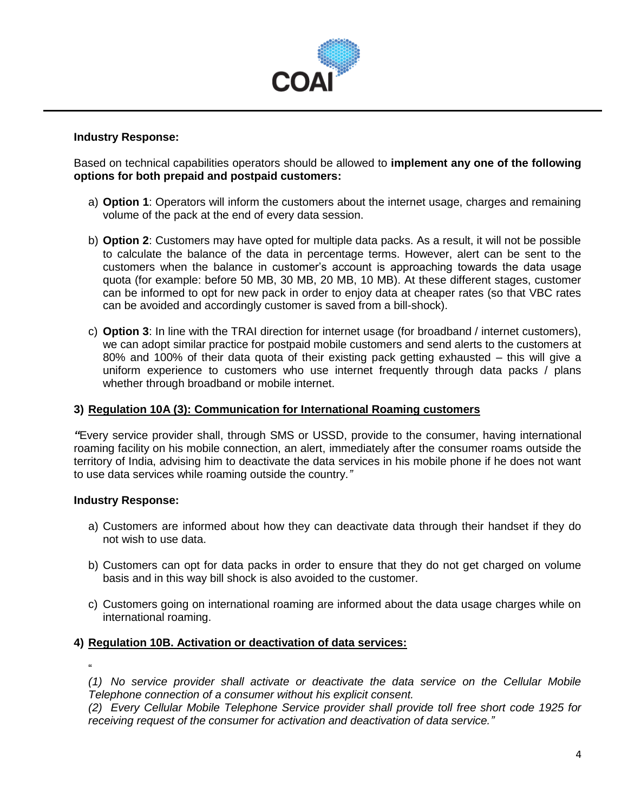

## **Industry Response:**

Based on technical capabilities operators should be allowed to **implement any one of the following options for both prepaid and postpaid customers:**

- a) **Option 1**: Operators will inform the customers about the internet usage, charges and remaining volume of the pack at the end of every data session.
- b) **Option 2**: Customers may have opted for multiple data packs. As a result, it will not be possible to calculate the balance of the data in percentage terms. However, alert can be sent to the customers when the balance in customer's account is approaching towards the data usage quota (for example: before 50 MB, 30 MB, 20 MB, 10 MB). At these different stages, customer can be informed to opt for new pack in order to enjoy data at cheaper rates (so that VBC rates can be avoided and accordingly customer is saved from a bill-shock).
- c) **Option 3**: In line with the TRAI direction for internet usage (for broadband / internet customers), we can adopt similar practice for postpaid mobile customers and send alerts to the customers at 80% and 100% of their data quota of their existing pack getting exhausted – this will give a uniform experience to customers who use internet frequently through data packs / plans whether through broadband or mobile internet.

## **3) Regulation 10A (3): Communication for International Roaming customers**

*"*Every service provider shall, through SMS or USSD, provide to the consumer, having international roaming facility on his mobile connection, an alert, immediately after the consumer roams outside the territory of India, advising him to deactivate the data services in his mobile phone if he does not want to use data services while roaming outside the country*."*

## **Industry Response:**

- a) Customers are informed about how they can deactivate data through their handset if they do not wish to use data.
- b) Customers can opt for data packs in order to ensure that they do not get charged on volume basis and in this way bill shock is also avoided to the customer.
- c) Customers going on international roaming are informed about the data usage charges while on international roaming.

## **4) Regulation 10B. Activation or deactivation of data services:**

" *(1) No service provider shall activate or deactivate the data service on the Cellular Mobile Telephone connection of a consumer without his explicit consent.* 

*(2) Every Cellular Mobile Telephone Service provider shall provide toll free short code 1925 for receiving request of the consumer for activation and deactivation of data service."*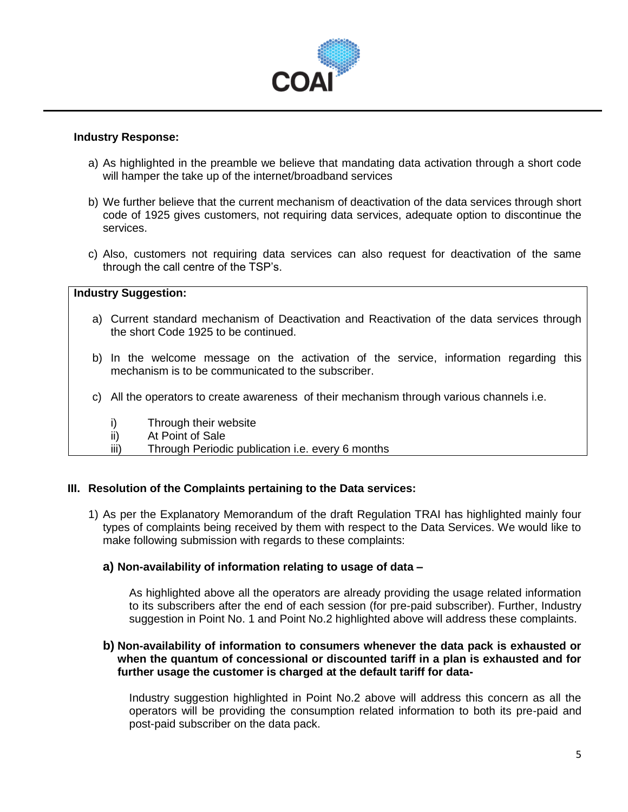

## **Industry Response:**

- a) As highlighted in the preamble we believe that mandating data activation through a short code will hamper the take up of the internet/broadband services
- b) We further believe that the current mechanism of deactivation of the data services through short code of 1925 gives customers, not requiring data services, adequate option to discontinue the services.
- c) Also, customers not requiring data services can also request for deactivation of the same through the call centre of the TSP's.

## **Industry Suggestion:**

- a) Current standard mechanism of Deactivation and Reactivation of the data services through the short Code 1925 to be continued.
- b) In the welcome message on the activation of the service, information regarding this mechanism is to be communicated to the subscriber.
- c) All the operators to create awareness of their mechanism through various channels i.e.
	- i) Through their website
	- ii) At Point of Sale
	- iii) Through Periodic publication i.e. every 6 months

## **III. Resolution of the Complaints pertaining to the Data services:**

1) As per the Explanatory Memorandum of the draft Regulation TRAI has highlighted mainly four types of complaints being received by them with respect to the Data Services. We would like to make following submission with regards to these complaints:

## **a) Non-availability of information relating to usage of data –**

As highlighted above all the operators are already providing the usage related information to its subscribers after the end of each session (for pre-paid subscriber). Further, Industry suggestion in Point No. 1 and Point No.2 highlighted above will address these complaints.

## **b) Non-availability of information to consumers whenever the data pack is exhausted or when the quantum of concessional or discounted tariff in a plan is exhausted and for further usage the customer is charged at the default tariff for data-**

Industry suggestion highlighted in Point No.2 above will address this concern as all the operators will be providing the consumption related information to both its pre-paid and post-paid subscriber on the data pack.